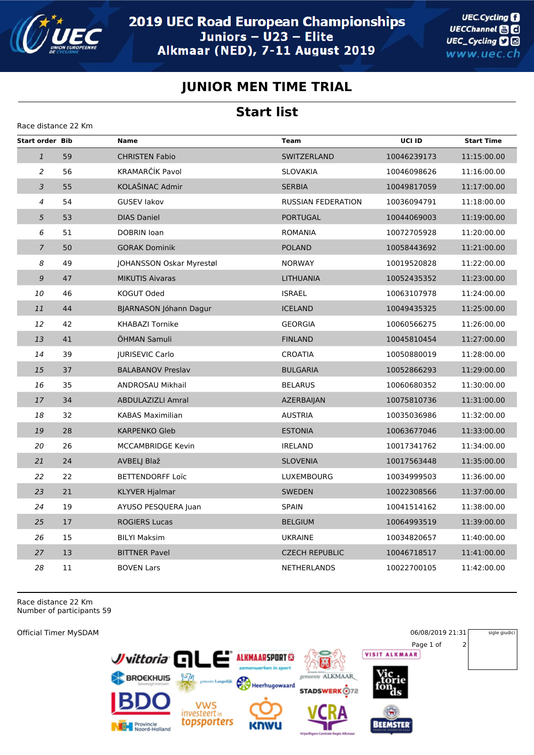

**UEC.Cycling** UECChannel **and** UEC\_Cycling **D** www.uec.ch

## **JUNIOR MEN TIME TRIAL**

## **Start list**

| Race distance 22 Km    |    |                          |                           |             |                   |  |
|------------------------|----|--------------------------|---------------------------|-------------|-------------------|--|
| <b>Start order Bib</b> |    | <b>Name</b>              | <b>Team</b>               | UCI ID      | <b>Start Time</b> |  |
| $\mathbf{1}$           | 59 | <b>CHRISTEN Fabio</b>    | SWITZERLAND               | 10046239173 | 11:15:00.00       |  |
| $\overline{a}$         | 56 | KRAMARČÍK Pavol          | <b>SLOVAKIA</b>           | 10046098626 | 11:16:00.00       |  |
| 3                      | 55 | KOLAŠINAC Admir          | <b>SERBIA</b>             | 10049817059 | 11:17:00.00       |  |
| $\overline{4}$         | 54 | <b>GUSEV lakov</b>       | <b>RUSSIAN FEDERATION</b> | 10036094791 | 11:18:00.00       |  |
| 5                      | 53 | <b>DIAS Daniel</b>       | <b>PORTUGAL</b>           | 10044069003 | 11:19:00.00       |  |
| 6                      | 51 | DOBRIN Ioan              | ROMANIA                   | 10072705928 | 11:20:00.00       |  |
| $\overline{7}$         | 50 | <b>GORAK Dominik</b>     | <b>POLAND</b>             | 10058443692 | 11:21:00.00       |  |
| 8                      | 49 | JOHANSSON Oskar Myrestøl | <b>NORWAY</b>             | 10019520828 | 11:22:00.00       |  |
| 9                      | 47 | <b>MIKUTIS Aivaras</b>   | <b>LITHUANIA</b>          | 10052435352 | 11:23:00.00       |  |
| 10                     | 46 | KOGUT Oded               | <b>ISRAEL</b>             | 10063107978 | 11:24:00.00       |  |
| 11                     | 44 | BJARNASON Jóhann Dagur   | <b>ICELAND</b>            | 10049435325 | 11:25:00.00       |  |
| 12                     | 42 | <b>KHABAZI Tornike</b>   | <b>GEORGIA</b>            | 10060566275 | 11:26:00.00       |  |
| 13                     | 41 | ÖHMAN Samuli             | <b>FINLAND</b>            | 10045810454 | 11:27:00.00       |  |
| 14                     | 39 | <b>IURISEVIC Carlo</b>   | <b>CROATIA</b>            | 10050880019 | 11:28:00.00       |  |
| 15                     | 37 | <b>BALABANOV Preslav</b> | <b>BULGARIA</b>           | 10052866293 | 11:29:00.00       |  |
| 16                     | 35 | ANDROSAU Mikhail         | <b>BELARUS</b>            | 10060680352 | 11:30:00.00       |  |
| 17                     | 34 | <b>ABDULAZIZLI Amral</b> | AZERBAIJAN                | 10075810736 | 11:31:00.00       |  |
| 18                     | 32 | <b>KABAS Maximilian</b>  | <b>AUSTRIA</b>            | 10035036986 | 11:32:00.00       |  |
| 19                     | 28 | <b>KARPENKO Gleb</b>     | <b>ESTONIA</b>            | 10063677046 | 11:33:00.00       |  |
| 20                     | 26 | <b>MCCAMBRIDGE Kevin</b> | <b>IRELAND</b>            | 10017341762 | 11:34:00.00       |  |
| 21                     | 24 | AVBELJ Blaž              | <b>SLOVENIA</b>           | 10017563448 | 11:35:00.00       |  |
| 22                     | 22 | <b>BETTENDORFF Loïc</b>  | LUXEMBOURG                | 10034999503 | 11:36:00.00       |  |
| 23                     | 21 | <b>KLYVER Hjalmar</b>    | <b>SWEDEN</b>             | 10022308566 | 11:37:00.00       |  |
| 24                     | 19 | AYUSO PESQUERA Juan      | <b>SPAIN</b>              | 10041514162 | 11:38:00.00       |  |
| 25                     | 17 | <b>ROGIERS Lucas</b>     | <b>BELGIUM</b>            | 10064993519 | 11:39:00.00       |  |
| 26                     | 15 | <b>BILYI Maksim</b>      | <b>UKRAINE</b>            | 10034820657 | 11:40:00.00       |  |
| 27                     | 13 | <b>BITTNER Pavel</b>     | <b>CZECH REPUBLIC</b>     | 10046718517 | 11:41:00.00       |  |
| 28                     | 11 | <b>BOVEN Lars</b>        | <b>NETHERLANDS</b>        | 10022700105 | 11:42:00.00       |  |

Race distance 22 Km Number of participants 59